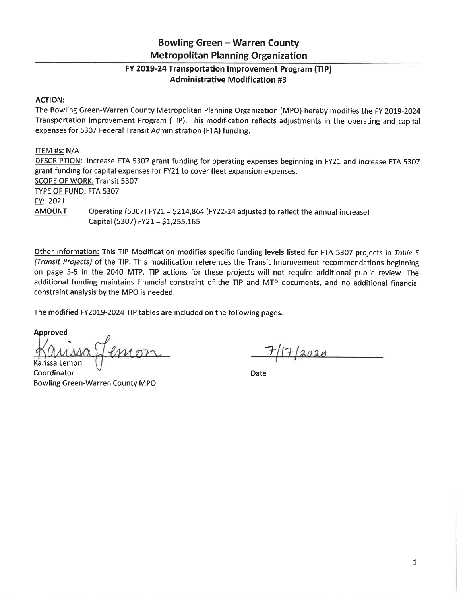## **Bowling Green - Warren County Metropolitan Planning Organization**

## FY 2019-24 Transportation Improvement Program (TIP) **Administrative Modification #3**

## **ACTION:**

The Bowling Green-Warren County Metropolitan Planning Organization (MPO) hereby modifies the FY 2019-2024 Transportation Improvement Program (TIP). This modification reflects adjustments in the operating and capital expenses for 5307 Federal Transit Administration (FTA) funding.

ITEM #s: N/A DESCRIPTION: Increase FTA 5307 grant funding for operating expenses beginning in FY21 and increase FTA 5307 grant funding for capital expenses for FY21 to cover fleet expansion expenses. **SCOPE OF WORK: Transit 5307** TYPE OF FUND: FTA 5307 FY: 2021 AMOUNT: Operating (5307) FY21 = \$214,864 (FY22-24 adjusted to reflect the annual increase) Capital (5307) FY21 = \$1,255,165

Other Information: This TIP Modification modifies specific funding levels listed for FTA 5307 projects in Table 5 (Transit Projects) of the TIP. This modification references the Transit Improvement recommendations beginning on page 5-5 in the 2040 MTP. TIP actions for these projects will not require additional public review. The additional funding maintains financial constraint of the TIP and MTP documents, and no additional financial constraint analysis by the MPO is needed.

The modified FY2019-2024 TIP tables are included on the following pages.

## **Approved**

Karissa Lemon

Coordinator **Bowling Green-Warren County MPO** 

 $17/2020$ 

Date